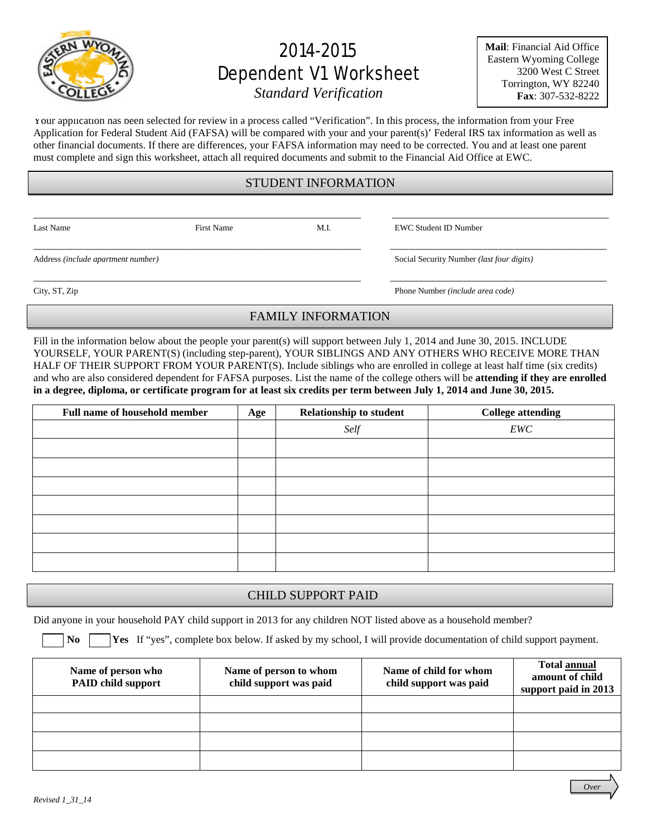

# 2014-2015 Dependent V1 Worksheet

**Mail**: Financial Aid Office Eastern Wyoming College 3200 West C Street Torrington, WY 82240 **Fax**: 307-532-8222

*Standard Verification*

Your application has been selected for review in a process called "Verification". In this process, the information from your Free Application for Federal Student Aid (FAFSA) will be compared with your and your parent(s)' Federal IRS tax information as well as other financial documents. If there are differences, your FAFSA information may need to be corrected. You and at least one parent must complete and sign this worksheet, attach all required documents and submit to the Financial Aid Office at EWC.

#### STUDENT INFORMATION

\_\_\_\_\_\_\_\_\_\_\_\_\_\_\_\_\_\_\_\_\_\_\_\_\_\_\_\_\_\_\_\_\_\_\_\_\_\_\_\_\_\_\_\_\_\_\_\_\_\_\_\_\_\_\_\_\_\_\_\_\_\_ \_\_\_\_\_\_\_\_\_\_\_\_\_\_\_\_\_\_\_\_\_\_\_\_\_\_\_\_\_\_\_\_\_\_\_\_\_\_\_\_\_

\_\_\_\_\_\_\_\_\_\_\_\_\_\_\_\_\_\_\_\_\_\_\_\_\_\_\_\_\_\_\_\_\_\_\_\_\_\_\_\_\_\_\_\_\_\_\_\_\_\_\_\_\_\_\_\_\_\_\_\_\_\_ \_\_\_\_\_\_\_\_\_\_\_\_\_\_\_\_\_\_\_\_\_\_\_\_\_\_\_\_\_\_\_\_\_\_\_\_\_\_\_\_\_

\_\_\_\_\_\_\_\_\_\_\_\_\_\_\_\_\_\_\_\_\_\_\_\_\_\_\_\_\_\_\_\_\_\_\_\_\_\_\_\_\_\_\_\_\_\_\_\_\_\_\_\_\_\_\_\_\_\_\_\_\_\_ \_\_\_\_\_\_\_\_\_\_\_\_\_\_\_\_\_\_\_\_\_\_\_\_\_\_\_\_\_\_\_\_\_\_\_\_\_\_\_\_\_

Last Name First Name First Name M.I. EWC Student ID Number

Address *(include apartment number)* Social Security Number *(last four digits)*

City, ST, Zip Phone Number *(include area code)*

## FAMILY INFORMATION

Fill in the information below about the people your parent(s) will support between July 1, 2014 and June 30, 2015. INCLUDE YOURSELF, YOUR PARENT(S) (including step-parent), YOUR SIBLINGS AND ANY OTHERS WHO RECEIVE MORE THAN HALF OF THEIR SUPPORT FROM YOUR PARENT(S). Include siblings who are enrolled in college at least half time (six credits) and who are also considered dependent for FAFSA purposes. List the name of the college others will be **attending if they are enrolled in a degree, diploma, or certificate program for at least six credits per term between July 1, 2014 and June 30, 2015.**

| <b>Full name of household member</b> | Age | <b>Relationship to student</b> | <b>College attending</b> |
|--------------------------------------|-----|--------------------------------|--------------------------|
|                                      |     | Self                           | EWC                      |
|                                      |     |                                |                          |
|                                      |     |                                |                          |
|                                      |     |                                |                          |
|                                      |     |                                |                          |
|                                      |     |                                |                          |
|                                      |     |                                |                          |
|                                      |     |                                |                          |

### CHILD SUPPORT PAID

Did anyone in your household PAY child support in 2013 for any children NOT listed above as a household member?

**No Yes** If "yes", complete box below. If asked by my school, I will provide documentation of child support payment.

| Name of person who<br><b>PAID child support</b> | Name of person to whom<br>child support was paid | Name of child for whom<br>child support was paid | <b>Total annual</b><br>amount of child<br>support paid in 2013 |
|-------------------------------------------------|--------------------------------------------------|--------------------------------------------------|----------------------------------------------------------------|
|                                                 |                                                  |                                                  |                                                                |
|                                                 |                                                  |                                                  |                                                                |
|                                                 |                                                  |                                                  |                                                                |
|                                                 |                                                  |                                                  |                                                                |

*Over*